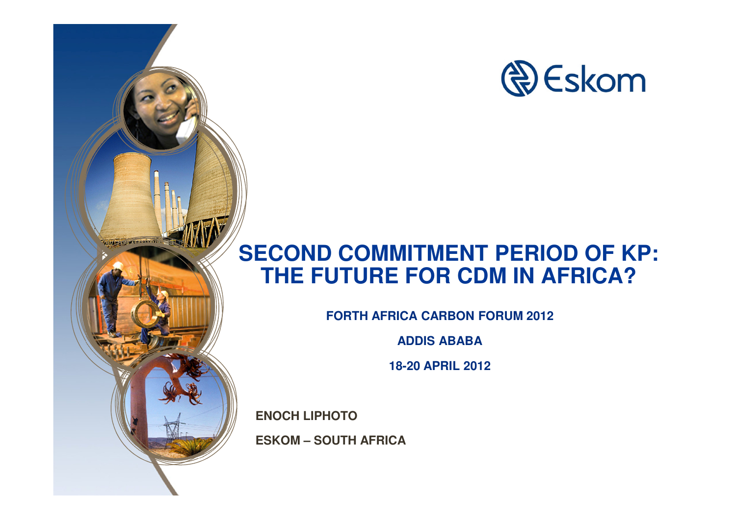

#### **SECOND COMMITMENT PERIOD OF KP: THE FUTURE FOR CDM IN AFRICA?**

**FORTH AFRICA CARBON FORUM 2012**

**ADDIS ABABA**

**18-20 APRIL 2012**

**ENOCH LIPHOTO** 

**Windows** and the company

**ESKOM – SOUTH AFRICA**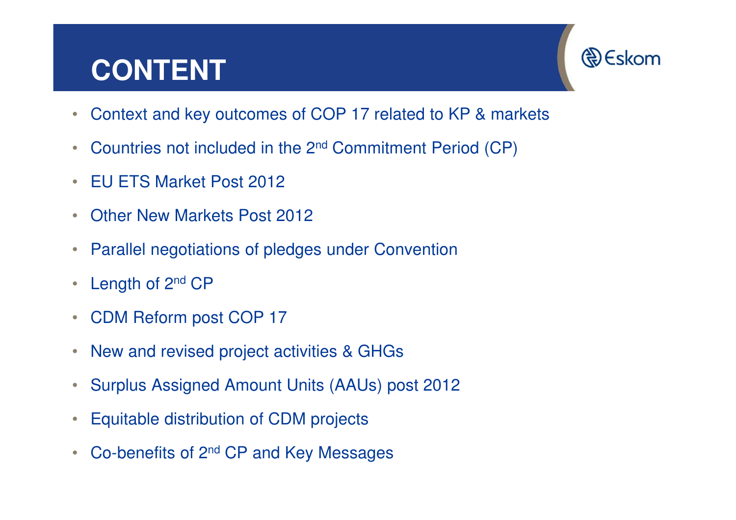## **CONTENT**



- $\bullet$ Context and key outcomes of COP 17 related to KP & markets
- •Countries not included in the 2nd Commitment Period (CP)
- •EU ETS Market Post 2012
- •Other New Markets Post 2012
- $\bullet$ Parallel negotiations of pledges under Convention
- $\bullet$ Length of 2<sup>nd</sup> CP
- $\bullet$ CDM Reform post COP 17
- $\bullet$ New and revised project activities & GHGs
- $\bullet$ Surplus Assigned Amount Units (AAUs) post 2012
- $\bullet$ Equitable distribution of CDM projects
- $\bullet$ Co-benefits of 2nd CP and Key Messages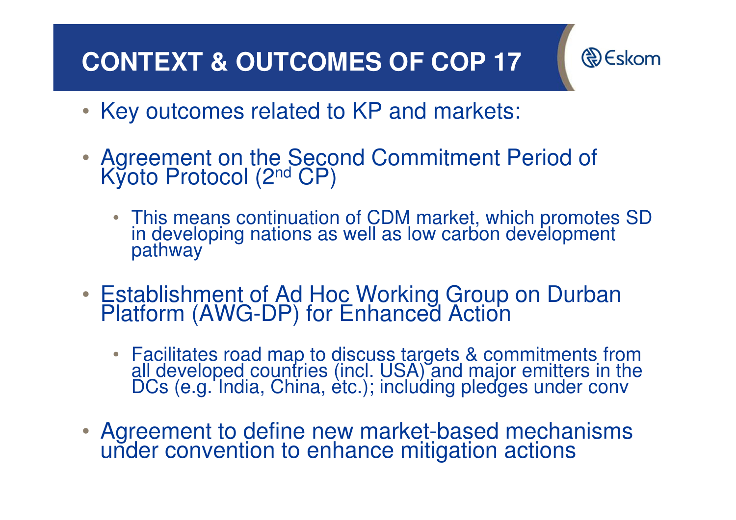## **CONTEXT & OUTCOMES OF COP 17**

**& Eskom** 

- Key outcomes related to KP and markets:
- Agreement on the Second Commitment Period of Kyoto Protocol (2<sup>nd</sup> CP)
	- This means continuation of CDM market, which promotes SD in developing nations as well as low carbon development pathway
- Establishment of Ad Hoc Working Group on Durban Platform (AWG-DP) for Enhanced Action
	- Facilitates road map to discuss targets & commitments from all developed countries (incl. USA) and major emitters in the DCs (e.g. India, China, etc.); including pledges under conv
- Agreement to define new market-based mechanisms under convention to enhance mitigation actions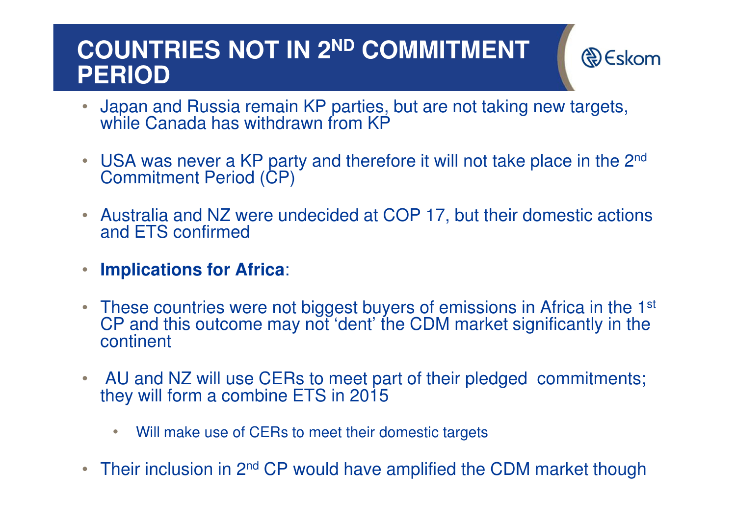#### **COUNTRIES NOT IN 2ND COMMITMENT PERIOD**

- **D** Eskom
- Japan and Russia remain KP parties, but are not taking new targets, •while Canada has withdrawn from KP
- $\bullet$ USA was never a KP party and therefore it will not take place in the 2<sup>nd</sup> Commitment Period (CP)
- $\bullet$  Australia and NZ were undecided at COP 17, but their domestic actions and ETS confirmed
- $\overline{\phantom{a}}$ **Implications for Africa**:
- $\bullet$ These countries were not biggest buyers of emissions in Africa in the 1<sup>st</sup> CP and this outcome may not 'dent' the CDM market significantly in the continent
- $\bullet$  AU and NZ will use CERs to meet part of their pledged commitments; they will form a combine ETS in 2015
	- $\bullet$ Will make use of CERs to meet their domestic targets
- $\bullet$ Their inclusion in 2<sup>nd</sup> CP would have amplified the CDM market though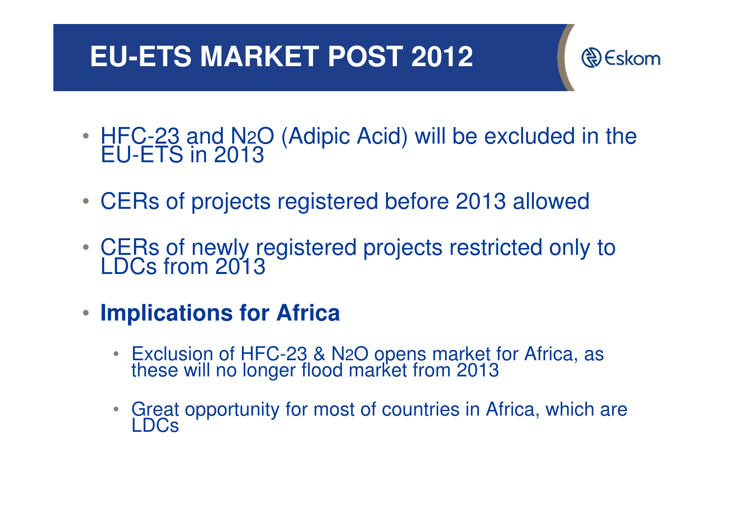## **EU-ETS MARKET POST 2012**



- HFC-23 and N HFC-23 and N2O (Adipic Acid) will be excluded in the<br>EU-ETS in 2013
- CERs of projects registered before 2013 allowed
- CERs of newly registered projects restricted only to LDCs from 2013
- $\bullet$  **Implications for Africa**
	- Exclusion of HFC-23 & N Exclusion of HFC-23 & N2O opens market for Africa, as<br>these will no longer flood market from 2013
	- Great opportunity for most of countries in Africa, which are LDCs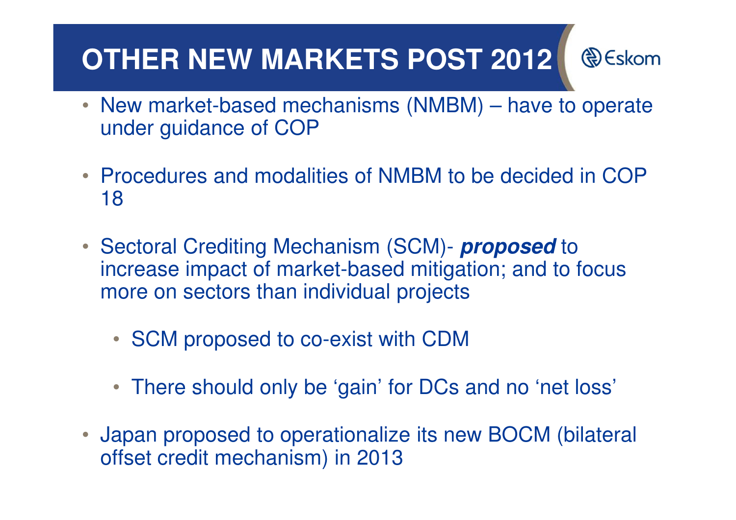# **OTHER NEW MARKETS POST 2012**

**D** Eskom

- New market-based mechanisms (NMBM) have to operate under guidance of COP
- Procedures and modalities of NMBM to be decided in COP 18
- Sectoral Crediting Mechanism (SCM)- **proposed** to increase impact of market-based mitigation; and to focus more on sectors than individual projects
	- SCM proposed to co-exist with CDM
	- There should only be 'gain' for DCs and no 'net loss'
- $\bullet$  Japan proposed to operationalize its new BOCM (bilateral offset credit mechanism) in 2013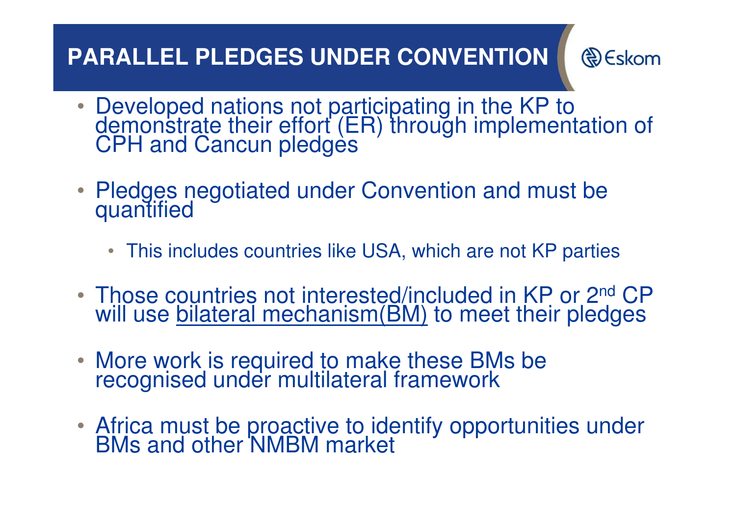#### **PARALLEL PLEDGES UNDER CONVENTION**

**D** Eskom

- Developed nations not participating in the KP to<br>demonstrate their effort (ER) through implementation of<br>CPH and Cancun pledges
- Pledges negotiated under Convention and must be quantified
	- This includes countries like USA, which are not KP parties
- •• Those countries not interested/included in KP or 2<sup>nd</sup> CP will use <u>bilateral mechanism(BM)</u> to meet their pledges
- More work is required to make these BMs be recognised under multilateral framework
- Africa must be proactive to identify opportunities under BMs and other NMBM market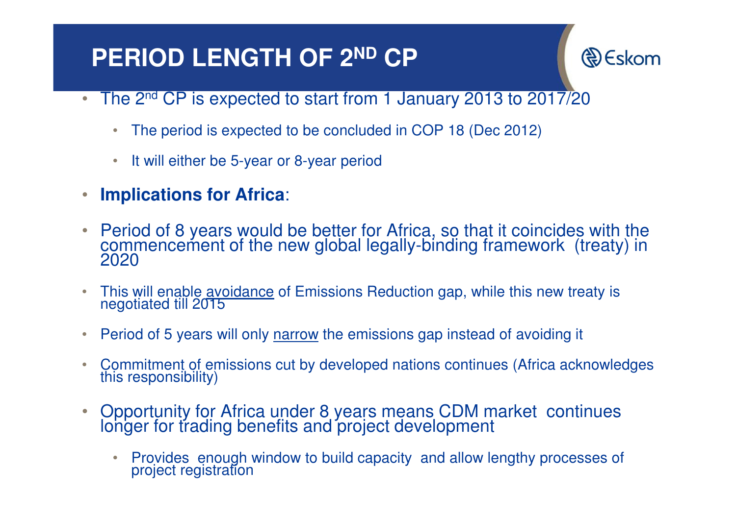#### **PERIOD LENGTH OF 2ND CP**

R) Eskom

- • The 2nd CP is expected to start from 1 January 2013 to 2017/20
	- $\bullet$ The period is expected to be concluded in COP 18 (Dec 2012)
	- •It will either be 5-year or 8-year period
- $\bigcirc$ **Implications for Africa**:
- $\bullet$ Period of 8 years would be better for Africa, so that it coincides with the commencement of the new global legally-binding framework (treaty) in 2020
- •This will enable avoidance of Emissions Reduction gap, while this new treaty is negotiated till 2015
- •Period of 5 years will only narrow the emissions gap instead of avoiding it
- $\bullet$ Commitment of emissions cut by developed nations continues (Africa acknowledges this responsibility)
- • Opportunity for Africa under 8 years means CDM market continues longer for trading benefits and project development
	- $\bullet$ Provides enough window to build capacity and allow lengthy processes of project registration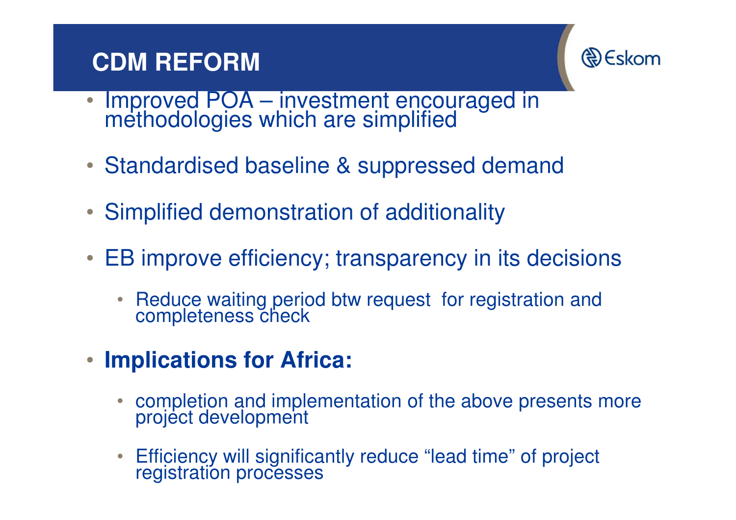#### **CDM REFORM**



- •Improved POA – investment encouraged in methodologies which are simplified
- Standardised baseline & suppressed demand
- Simplified demonstration of additionality
- EB improve efficiency; transparency in its decisions
	- $\bullet$ Reduce waiting period btw request for registration and completeness check
- **Implications for Africa:** 
	- •completion and implementation of the above presents more project development
	- $\bullet$ Efficiency will significantly reduce "lead time" of project registration processes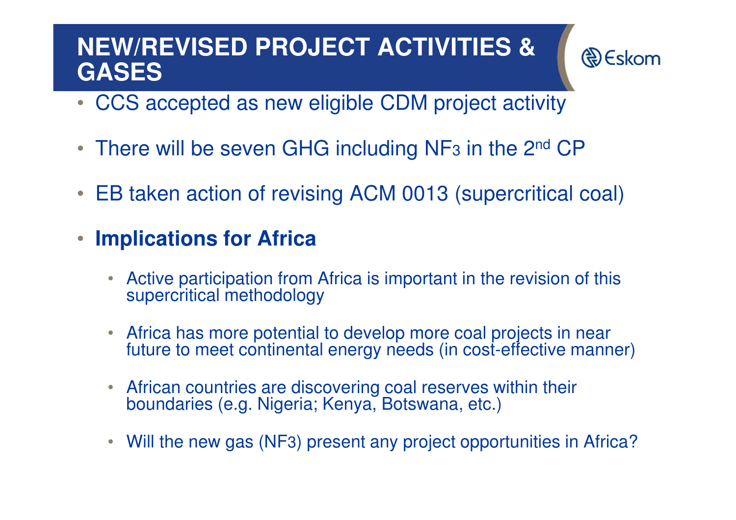#### **NEW/REVISED PROJECT ACTIVITIES & GASES**

R) Eskom

- CCS accepted as new eligible CDM project activity
- There will be seven GHG including NF<sub>3</sub> in the 2<sup>nd</sup> CP
- •EB taken action of revising ACM 0013 (supercritical coal)
- • **Implications for Africa**
	- • Active participation from Africa is important in the revision of this supercritical methodology
	- $\bullet$  Africa has more potential to develop more coal projects in near future to meet continental energy needs (in cost-effective manner)
	- African countries are discovering coal reserves within their boundaries (e.g. Nigeria; Kenya, Botswana, etc.)
	- $\bullet$ Will the new gas (NF3) present any project opportunities in Africa?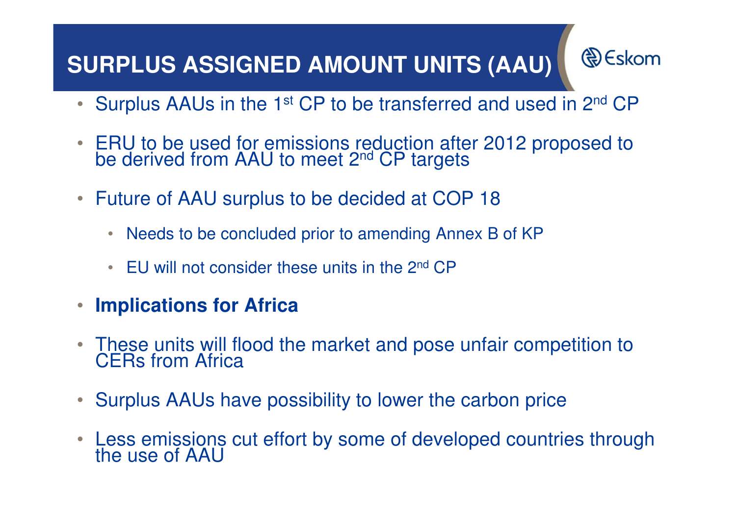#### **SURPLUS ASSIGNED AMOUNT UNITS (AAU)**

**€** Eskom

- Surplus AAUs in the 1<sup>st</sup> CP to be transferred and used in 2<sup>nd</sup> CP
- •ERU to be used for emissions reduction after 2012 proposed to be derived from AAU to meet 2<sup>nd</sup> CP targets
- • Future of AAU surplus to be decided at COP 18
	- Needs to be concluded prior to amending Annex B of KP
	- EU will not consider these units in the 2<sup>nd</sup> CP
- •**Implications for Africa**
- •These units will flood the market and pose unfair competition to CERs from Africa
- $\bullet$ Surplus AAUs have possibility to lower the carbon price
- •Less emissions cut effort by some of developed countries through the use of AAU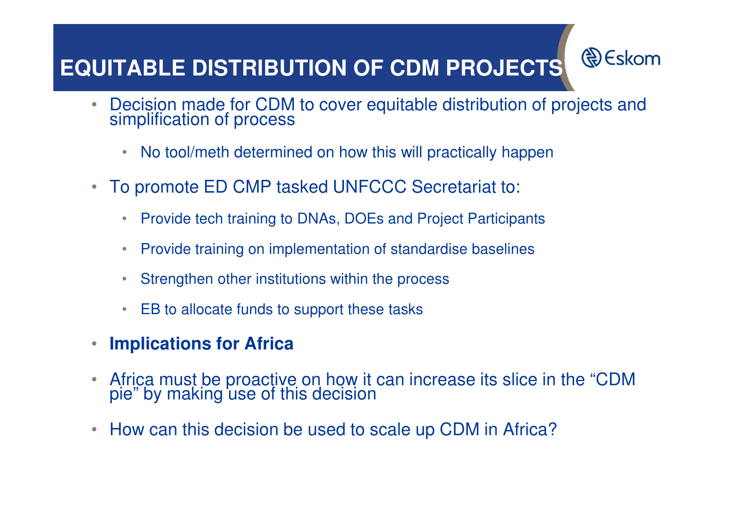### **EQUITABLE DISTRIBUTION OF CDM PROJECTS**

 $\bullet$ Decision made for CDM to cover equitable distribution of projects and simplification of process

**& Eskom** 

- $\bullet$ No tool/meth determined on how this will practically happen
- $\bullet$  To promote ED CMP tasked UNFCCC Secretariat to:
	- $\bullet$ Provide tech training to DNAs, DOEs and Project Participants
	- $\bullet$ Provide training on implementation of standardise baselines
	- $\bullet$ Strengthen other institutions within the process
	- $\bullet$ EB to allocate funds to support these tasks
- $\bullet$ **Implications for Africa**
- •Africa must be proactive on how it can increase its slice in the "CDM pie" by making use of this decision
- $\bullet$ How can this decision be used to scale up CDM in Africa?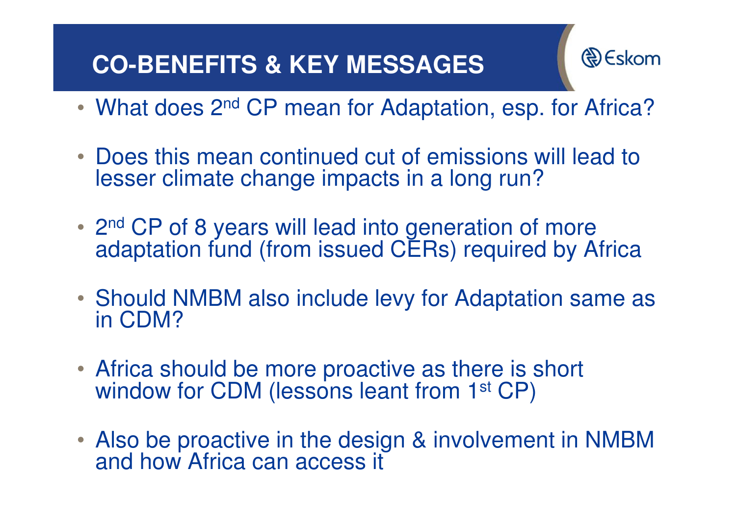#### **CO-BENEFITS & KEY MESSAGES**



- •• What does 2<sup>nd</sup> CP mean for Adaptation, esp. for Africa?
- Does this mean continued cut of emissions will lead to lesser climate change impacts in a long run?
- 2<sup>nd</sup> CP of 8 years will lead into generation of more adaptation fund (from issued CERs) required by Africa
- Should NMBM also include levy for Adaptation same as in CDM?
- Africa should be more proactive as there is short window for CDM (lessons leant from 1<sup>st</sup> CP)
- Also be proactive in the design & involvement in NMBM and how Africa can access it